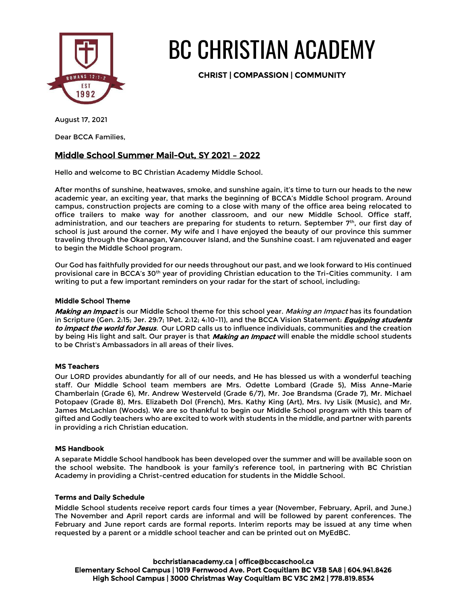

# BC CHRISTIAN ACADEMY

CHRIST | COMPASSION | COMMUNITY

Dear BCCA Families,

# Middle School Summer Mail-Out, SY 2021 – 2022

Hello and welcome to BC Christian Academy Middle School.

After months of sunshine, heatwaves, smoke, and sunshine again, it's time to turn our heads to the new academic year, an exciting year, that marks the beginning of BCCA's Middle School program. Around campus, construction projects are coming to a close with many of the office area being relocated to office trailers to make way for another classroom, and our new Middle School. Office staff, administration, and our teachers are preparing for students to return. September 7th, our first day of school is just around the corner. My wife and I have enjoyed the beauty of our province this summer traveling through the Okanagan, Vancouver Island, and the Sunshine coast. I am rejuvenated and eager to begin the Middle School program.

Our God has faithfully provided for our needs throughout our past, and we look forward to His continued provisional care in BCCA's 30<sup>th</sup> year of providing Christian education to the Tri-Cities community. I am writing to put a few important reminders on your radar for the start of school, including:

# Middle School Theme

Making an Impact is our Middle School theme for this school year. Making an Impact has its foundation in Scripture (Gen. 2:15; Jer. 29:7; 1Pet. 2:12; 4:10-11), and the BCCA Vision Statement: *Equipping students* to impact the world for Jesus. Our LORD calls us to influence individuals, communities and the creation by being His light and salt. Our prayer is that *Making an Impact* will enable the middle school students to be Christ's Ambassadors in all areas of their lives.

# MS Teachers

Our LORD provides abundantly for all of our needs, and He has blessed us with a wonderful teaching staff. Our Middle School team members are Mrs. Odette Lombard (Grade 5), Miss Anne-Marie Chamberlain (Grade 6), Mr. Andrew Westerveld (Grade 6/7), Mr. Joe Brandsma (Grade 7), Mr. Michael Potopaev (Grade 8), Mrs. Elizabeth Dol (French), Mrs. Kathy King (Art), Mrs. Ivy Lisik (Music), and Mr. James McLachlan (Woods). We are so thankful to begin our Middle School program with this team of gifted and Godly teachers who are excited to work with students in the middle, and partner with parents in providing a rich Christian education.

# MS Handbook

A separate Middle School handbook has been developed over the summer and will be available soon on the school website. The handbook is your family's reference tool, in partnering with BC Christian Academy in providing a Christ-centred education for students in the Middle School.

# Terms and Daily Schedule

Middle School students receive report cards four times a year (November, February, April, and June.) The November and April report cards are informal and will be followed by parent conferences. The February and June report cards are formal reports. Interim reports may be issued at any time when requested by a parent or a middle school teacher and can be printed out on MyEdBC.

bcchristianacademy.ca | office@bccaschool.ca Elementary School Campus | 1019 Fernwood Ave. Port Coquitlam BC V3B 5A8 | 604.941.8426 High School Campus | 3000 Christmas Way Coquitlam BC V3C 2M2 | 778.819.8534

August 17, 2021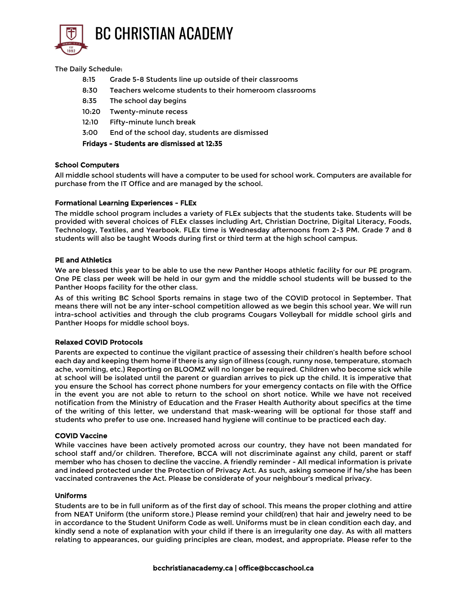

#### The Daily Schedule:

- 8:15 Grade 5-8 Students line up outside of their classrooms
- 8:30 Teachers welcome students to their homeroom classrooms
- 8:35 The school day begins
- 10:20 Twenty-minute recess
- 12:10 Fifty-minute lunch break
- 3:00 End of the school day, students are dismissed

#### Fridays - Students are dismissed at 12:35

#### School Computers

All middle school students will have a computer to be used for school work. Computers are available for purchase from the IT Office and are managed by the school.

#### Formational Learning Experiences - FLEx

The middle school program includes a variety of FLEx subjects that the students take. Students will be provided with several choices of FLEx classes including Art, Christian Doctrine, Digital Literacy, Foods, Technology, Textiles, and Yearbook. FLEx time is Wednesday afternoons from 2-3 PM. Grade 7 and 8 students will also be taught Woods during first or third term at the high school campus.

#### PE and Athletics

We are blessed this year to be able to use the new Panther Hoops athletic facility for our PE program. One PE class per week will be held in our gym and the middle school students will be bussed to the Panther Hoops facility for the other class.

As of this writing BC School Sports remains in stage two of the COVID protocol in September. That means there will not be any inter-school competition allowed as we begin this school year. We will run intra-school activities and through the club programs Cougars Volleyball for middle school girls and Panther Hoops for middle school boys.

# Relaxed COVID Protocols

Parents are expected to continue the vigilant practice of assessing their children's health before school each day and keeping them home if there is any sign of illness (cough, runny nose, temperature, stomach ache, vomiting, etc.) Reporting on BLOOMZ will no longer be required. Children who become sick while at school will be isolated until the parent or guardian arrives to pick up the child. It is imperative that you ensure the School has correct phone numbers for your emergency contacts on file with the Office in the event you are not able to return to the school on short notice. While we have not received notification from the Ministry of Education and the Fraser Health Authority about specifics at the time of the writing of this letter, we understand that mask-wearing will be optional for those staff and students who prefer to use one. Increased hand hygiene will continue to be practiced each day.

#### COVID Vaccine

While vaccines have been actively promoted across our country, they have not been mandated for school staff and/or children. Therefore, BCCA will not discriminate against any child, parent or staff member who has chosen to decline the vaccine. A friendly reminder - All medical information is private and indeed protected under the Protection of Privacy Act. As such, asking someone if he/she has been vaccinated contravenes the Act. Please be considerate of your neighbour's medical privacy.

#### Uniforms

Students are to be in full uniform as of the first day of school. This means the proper clothing and attire from NEAT Uniform (the uniform store.) Please remind your child(ren) that hair and jewelry need to be in accordance to the Student Uniform Code as well. Uniforms must be in clean condition each day, and kindly send a note of explanation with your child if there is an irregularity one day. As with all matters relating to appearances, our guiding principles are clean, modest, and appropriate. Please refer to the